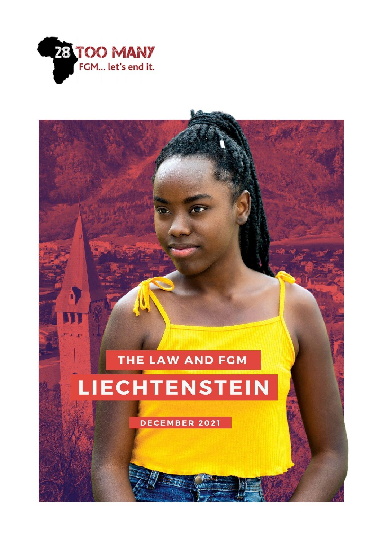

# THE LAW AND FGM LIECHTENSTEIN

DECEMBER 2021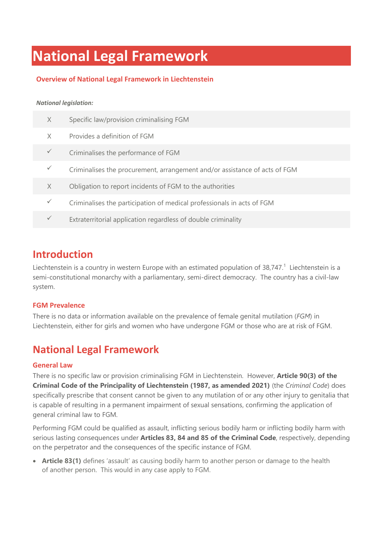# **National Legal Framework**

### **Overview of National Legal Framework in Liechtenstein**

#### *National legislation:*

| $\times$ | Specific law/provision criminalising FGM                                   |
|----------|----------------------------------------------------------------------------|
| X        | Provides a definition of FGM                                               |
|          | Criminalises the performance of FGM                                        |
|          | Criminalises the procurement, arrangement and/or assistance of acts of FGM |
| X        | Obligation to report incidents of FGM to the authorities                   |
|          | Criminalises the participation of medical professionals in acts of FGM     |
|          | Extraterritorial application regardless of double criminality              |
|          |                                                                            |

### **Introduction**

Liechtenstein is a country in western Europe with an estimated population of 38,747.<sup>1</sup> Liechtenstein is a semi-constitutional monarchy with a parliamentary, semi-direct democracy. The country has a civil-law system.

### **FGM Prevalence**

There is no data or information available on the prevalence of female genital mutilation (*FGM*) in Liechtenstein, either for girls and women who have undergone FGM or those who are at risk of FGM.

### **National Legal Framework**

### **General Law**

There is no specific law or provision criminalising FGM in Liechtenstein. However, **Article 90(3) of the Criminal Code of the Principality of Liechtenstein (1987, as amended 2021)** (the *Criminal Code*) does specifically prescribe that consent cannot be given to any mutilation of or any other injury to genitalia that is capable of resulting in a permanent impairment of sexual sensations, confirming the application of general criminal law to FGM.

Performing FGM could be qualified as assault, inflicting serious bodily harm or inflicting bodily harm with serious lasting consequences under **Articles 83, 84 and 85 of the Criminal Code**, respectively, depending on the perpetrator and the consequences of the specific instance of FGM.

• **Article 83(1)** defines 'assault' as causing bodily harm to another person or damage to the health of another person. This would in any case apply to FGM.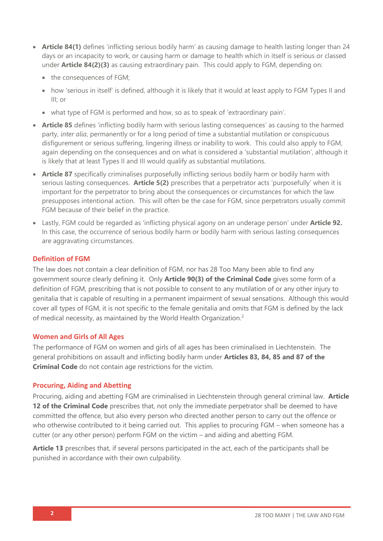- **Article 84(1)** defines 'inflicting serious bodily harm' as causing damage to health lasting longer than 24 days or an incapacity to work, or causing harm or damage to health which in itself is serious or classed under **Article 84(2)(3)** as causing extraordinary pain. This could apply to FGM, depending on:
	- the consequences of FGM;
	- how 'serious in itself' is defined, although it is likely that it would at least apply to FGM Types II and III; or
	- what type of FGM is performed and how, so as to speak of 'extraordinary pain'.
- **Article 85** defines 'inflicting bodily harm with serious lasting consequences' as causing to the harmed party, *inter alia*, permanently or for a long period of time a substantial mutilation or conspicuous disfigurement or serious suffering, lingering illness or inability to work. This could also apply to FGM, again depending on the consequences and on what is considered a 'substantial mutilation', although it is likely that at least Types II and III would qualify as substantial mutilations.
- **Article 87** specifically criminalises purposefully inflicting serious bodily harm or bodily harm with serious lasting consequences. **Article 5(2)** prescribes that a perpetrator acts 'purposefully' when it is important for the perpetrator to bring about the consequences or circumstances for which the law presupposes intentional action. This will often be the case for FGM, since perpetrators usually commit FGM because of their belief in the practice.
- Lastly, FGM could be regarded as 'inflicting physical agony on an underage person' under **Article 92.** In this case, the occurrence of serious bodily harm or bodily harm with serious lasting consequences are aggravating circumstances.

#### **Definition of FGM**

The law does not contain a clear definition of FGM, nor has 28 Too Many been able to find any government source clearly defining it. Only **Article 90(3) of the Criminal Code** gives some form of a definition of FGM, prescribing that is not possible to consent to any mutilation of or any other injury to genitalia that is capable of resulting in a permanent impairment of sexual sensations. Although this would cover all types of FGM, it is not specific to the female genitalia and omits that FGM is defined by the lack of medical necessity, as maintained by the World Health Organization.<sup>2</sup>

#### **Women and Girls of All Ages**

The performance of FGM on women and girls of all ages has been criminalised in Liechtenstein. The general prohibitions on assault and inflicting bodily harm under **Articles 83, 84, 85 and 87 of the Criminal Code** do not contain age restrictions for the victim.

#### **Procuring, Aiding and Abetting**

Procuring, aiding and abetting FGM are criminalised in Liechtenstein through general criminal law. **Article 12 of the Criminal Code** prescribes that, not only the immediate perpetrator shall be deemed to have committed the offence, but also every person who directed another person to carry out the offence or who otherwise contributed to it being carried out. This applies to procuring FGM – when someone has a cutter (or any other person) perform FGM on the victim – and aiding and abetting FGM.

**Article 13** prescribes that, if several persons participated in the act, each of the participants shall be punished in accordance with their own culpability.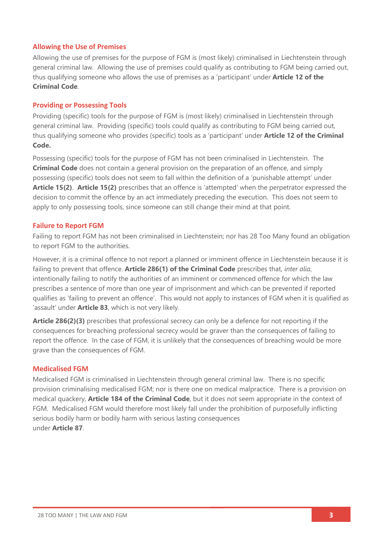### **Allowing the Use of Premises**

Allowing the use of premises for the purpose of FGM is (most likely) criminalised in Liechtenstein through general criminal law. Allowing the use of premises could qualify as contributing to FGM being carried out, thus qualifying someone who allows the use of premises as a 'participant' under **Article 12 of the Criminal Code**.

### **Providing or Possessing Tools**

Providing (specific) tools for the purpose of FGM is (most likely) criminalised in Liechtenstein through general criminal law. Providing (specific) tools could qualify as contributing to FGM being carried out, thus qualifying someone who provides (specific) tools as a 'participant' under **Article 12 of the Criminal Code.**

Possessing (specific) tools for the purpose of FGM has not been criminalised in Liechtenstein. The **Criminal Code** does not contain a general provision on the preparation of an offence, and simply possessing (specific) tools does not seem to fall within the definition of a 'punishable attempt' under **Article 15(2)**. **Article 15(2)** prescribes that an offence is 'attempted' when the perpetrator expressed the decision to commit the offence by an act immediately preceding the execution. This does not seem to apply to only possessing tools, since someone can still change their mind at that point.

### **Failure to Report FGM**

Failing to report FGM has not been criminalised in Liechtenstein; nor has 28 Too Many found an obligation to report FGM to the authorities.

However, it is a criminal offence to not report a planned or imminent offence in Liechtenstein because it is failing to prevent that offence. **Article 286(1) of the Criminal Code** prescribes that, *inter alia*, intentionally failing to notify the authorities of an imminent or commenced offence for which the law prescribes a sentence of more than one year of imprisonment and which can be prevented if reported qualifies as 'failing to prevent an offence'. This would not apply to instances of FGM when it is qualified as 'assault' under **Article 83**, which is not very likely.

**Article 286(2)(3)** prescribes that professional secrecy can only be a defence for not reporting if the consequences for breaching professional secrecy would be graver than the consequences of failing to report the offence. In the case of FGM, it is unlikely that the consequences of breaching would be more grave than the consequences of FGM.

### **Medicalised FGM**

Medicalised FGM is criminalised in Liechtenstein through general criminal law. There is no specific provision criminalising medicalised FGM; nor is there one on medical malpractice. There is a provision on medical quackery, **Article 184 of the Criminal Code**, but it does not seem appropriate in the context of FGM. Medicalised FGM would therefore most likely fall under the prohibition of purposefully inflicting serious bodily harm or bodily harm with serious lasting consequences under **Article 87**.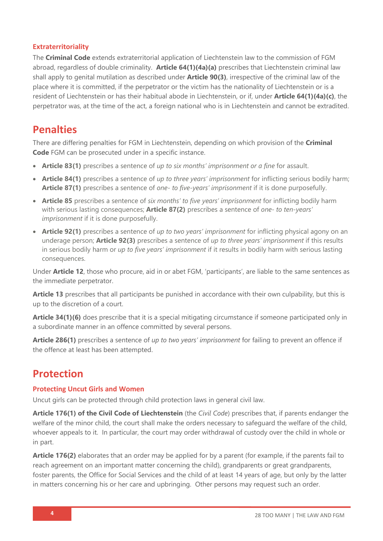### **Extraterritoriality**

The **Criminal Code** extends extraterritorial application of Liechtenstein law to the commission of FGM abroad, regardless of double criminality. **Article 64(1)(4a)(a)** prescribes that Liechtenstein criminal law shall apply to genital mutilation as described under **Article 90(3)**, irrespective of the criminal law of the place where it is committed, if the perpetrator or the victim has the nationality of Liechtenstein or is a resident of Liechtenstein or has their habitual abode in Liechtenstein, or if, under **Article 64(1)(4a)(c)**, the perpetrator was, at the time of the act, a foreign national who is in Liechtenstein and cannot be extradited.

### **Penalties**

There are differing penalties for FGM in Liechtenstein, depending on which provision of the **Criminal Code** FGM can be prosecuted under in a specific instance.

- **Article 83(1)** prescribes a sentence of *up to six months' imprisonment or a fine* for assault.
- **Article 84(1)** prescribes a sentence of *up to three years' imprisonment* for inflicting serious bodily harm; **Article 87(1)** prescribes a sentence of *one- to five-years' imprisonment* if it is done purposefully.
- **Article 85** prescribes a sentence of *six months' to five years' imprisonment* for inflicting bodily harm with serious lasting consequences; **Article 87(2)** prescribes a sentence of *one- to ten-years' imprisonment* if it is done purposefully.
- **Article 92(1)** prescribes a sentence of *up to two years' imprisonment* for inflicting physical agony on an underage person; **Article 92(3)** prescribes a sentence of *up to three years' imprisonment* if this results in serious bodily harm or *up to five years' imprisonment* if it results in bodily harm with serious lasting consequences.

Under **Article 12**, those who procure, aid in or abet FGM, 'participants', are liable to the same sentences as the immediate perpetrator.

**Article 13** prescribes that all participants be punished in accordance with their own culpability, but this is up to the discretion of a court.

**Article 34(1)(6)** does prescribe that it is a special mitigating circumstance if someone participated only in a subordinate manner in an offence committed by several persons.

**Article 286(1)** prescribes a sentence of *up to two years' imprisonment* for failing to prevent an offence if the offence at least has been attempted.

### **Protection**

### **Protecting Uncut Girls and Women**

Uncut girls can be protected through child protection laws in general civil law.

**Article 176(1) of the Civil Code of Liechtenstein** (the *Civil Code*) prescribes that, if parents endanger the welfare of the minor child, the court shall make the orders necessary to safeguard the welfare of the child, whoever appeals to it. In particular, the court may order withdrawal of custody over the child in whole or in part.

**Article 176(2)** elaborates that an order may be applied for by a parent (for example, if the parents fail to reach agreement on an important matter concerning the child), grandparents or great grandparents, foster parents, the Office for Social Services and the child of at least 14 years of age, but only by the latter in matters concerning his or her care and upbringing. Other persons may request such an order.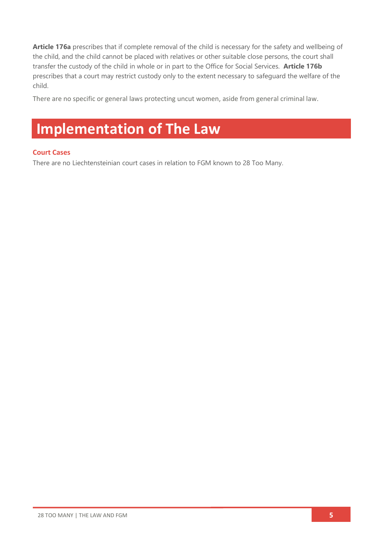**Article 176a** prescribes that if complete removal of the child is necessary for the safety and wellbeing of the child, and the child cannot be placed with relatives or other suitable close persons, the court shall transfer the custody of the child in whole or in part to the Office for Social Services. **Article 176b** prescribes that a court may restrict custody only to the extent necessary to safeguard the welfare of the child.

There are no specific or general laws protecting uncut women, aside from general criminal law.

# **Implementation of The Law**

### **Court Cases**

There are no Liechtensteinian court cases in relation to FGM known to 28 Too Many.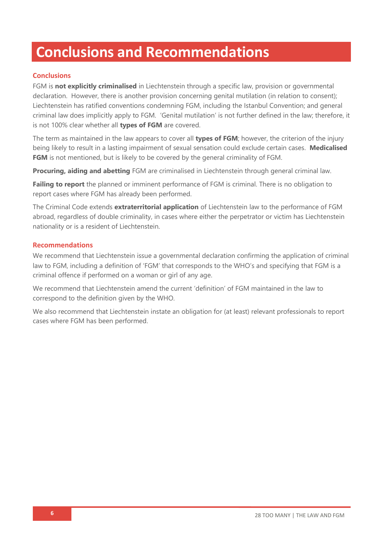# **Conclusions and Recommendations**

### **Conclusions**

FGM is **not explicitly criminalised** in Liechtenstein through a specific law, provision or governmental declaration. However, there is another provision concerning genital mutilation (in relation to consent); Liechtenstein has ratified conventions condemning FGM, including the Istanbul Convention; and general criminal law does implicitly apply to FGM. 'Genital mutilation' is not further defined in the law; therefore, it is not 100% clear whether all **types of FGM** are covered.

The term as maintained in the law appears to cover all **types of FGM**; however, the criterion of the injury being likely to result in a lasting impairment of sexual sensation could exclude certain cases. **Medicalised FGM** is not mentioned, but is likely to be covered by the general criminality of FGM.

**Procuring, aiding and abetting** FGM are criminalised in Liechtenstein through general criminal law.

**Failing to report** the planned or imminent performance of FGM is criminal. There is no obligation to report cases where FGM has already been performed.

The Criminal Code extends **extraterritorial application** of Liechtenstein law to the performance of FGM abroad, regardless of double criminality, in cases where either the perpetrator or victim has Liechtenstein nationality or is a resident of Liechtenstein.

### **Recommendations**

We recommend that Liechtenstein issue a governmental declaration confirming the application of criminal law to FGM, including a definition of 'FGM' that corresponds to the WHO's and specifying that FGM is a criminal offence if performed on a woman or girl of any age.

We recommend that Liechtenstein amend the current 'definition' of FGM maintained in the law to correspond to the definition given by the WHO.

We also recommend that Liechtenstein instate an obligation for (at least) relevant professionals to report cases where FGM has been performed.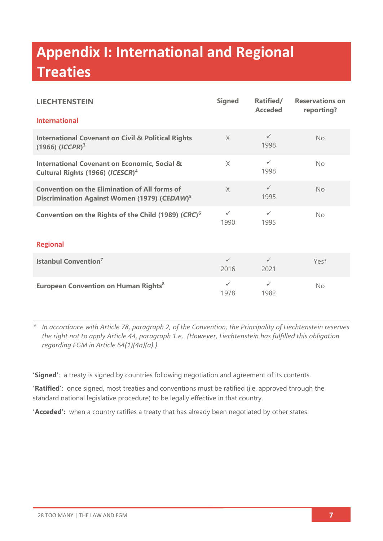# **Appendix I: International and Regional Treaties**

| <b>LIECHTENSTEIN</b>                                                                                             | <b>Signed</b>        | Ratified/<br><b>Acceded</b> | <b>Reservations on</b><br>reporting? |  |  |
|------------------------------------------------------------------------------------------------------------------|----------------------|-----------------------------|--------------------------------------|--|--|
| <b>International</b>                                                                                             |                      |                             |                                      |  |  |
| <b>International Covenant on Civil &amp; Political Rights</b><br>$(1966)$ $(ICCPR)^3$                            | $\times$             | $\checkmark$<br>1998        | No                                   |  |  |
| <b>International Covenant on Economic, Social &amp;</b><br>Cultural Rights (1966) (ICESCR) <sup>4</sup>          | $\times$             | $\checkmark$<br>1998        | No                                   |  |  |
| <b>Convention on the Elimination of All forms of</b><br>Discrimination Against Women (1979) (CEDAW) <sup>5</sup> | $\chi$               | $\checkmark$<br>1995        | No                                   |  |  |
| Convention on the Rights of the Child (1989) (CRC) <sup>6</sup>                                                  | $\checkmark$<br>1990 | $\checkmark$<br>1995        | No                                   |  |  |
| <b>Regional</b>                                                                                                  |                      |                             |                                      |  |  |
| <b>Istanbul Convention<sup>7</sup></b>                                                                           | $\checkmark$<br>2016 | $\checkmark$<br>2021        | $Yes*$                               |  |  |
| <b>European Convention on Human Rights<sup>8</sup></b>                                                           | $\checkmark$<br>1978 | $\checkmark$<br>1982        | No                                   |  |  |

*\* In accordance with Article 78, paragraph 2, of the Convention, the Principality of Liechtenstein reserves the right not to apply Article 44, paragraph 1.e. (However, Liechtenstein has fulfilled this obligation regarding FGM in Article 64(1)(4a)(a).)*

**'Signed'**: a treaty is signed by countries following negotiation and agreement of its contents.

**'Ratified'**: once signed, most treaties and conventions must be ratified (i.e. approved through the standard national legislative procedure) to be legally effective in that country.

**'Acceded':** when a country ratifies a treaty that has already been negotiated by other states.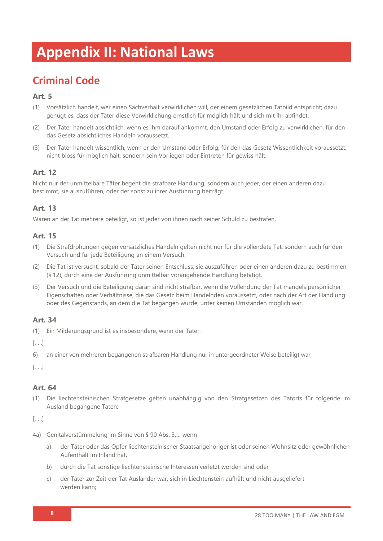# **Appendix II: National Laws**

## **Criminal Code**

### **Art. 5**

- (1) Vorsätzlich handelt, wer einen Sachverhalt verwirklichen will, der einem gesetzlichen Tatbild entspricht; dazu genügt es, dass der Täter diese Verwirklichung ernstlich für möglich hält und sich mit ihr abfindet.
- (2) Der Täter handelt absichtlich, wenn es ihm darauf ankommt, den Umstand oder Erfolg zu verwirklichen, für den das Gesetz absichtliches Handeln voraussetzt.
- (3) Der Täter handelt wissentlich, wenn er den Umstand oder Erfolg, für den das Gesetz Wissentlichkeit voraussetzt, nicht bloss für möglich hält, sondern sein Vorliegen oder Eintreten für gewiss hält.

### **Art. 12**

Nicht nur der unmittelbare Täter begeht die strafbare Handlung, sondern auch jeder, der einen anderen dazu bestimmt, sie auszuführen, oder der sonst zu ihrer Ausführung beiträgt.

### **Art. 13**

Waren an der Tat mehrere beteiligt, so ist jeder von ihnen nach seiner Schuld zu bestrafen.

### **Art. 15**

- (1) Die Strafdrohungen gegen vorsätzliches Handeln gelten nicht nur für die vollendete Tat, sondern auch für den Versuch und für jede Beteiligung an einem Versuch.
- (2) Die Tat ist versucht, sobald der Täter seinen Entschluss, sie auszuführen oder einen anderen dazu zu bestimmen (§ 12), durch eine der Ausführung unmittelbar vorangehende Handlung betätigt.
- (3) Der Versuch und die Beteiligung daran sind nicht strafbar, wenn die Vollendung der Tat mangels persönlicher Eigenschaften oder Verhältnisse, die das Gesetz beim Handelnden voraussetzt, oder nach der Art der Handlung oder des Gegenstands, an dem die Tat begangen wurde, unter keinen Umständen möglich war.

### **Art. 34**

(1) Ein Milderungsgrund ist es insbesondere, wenn der Täter:

[. . .]

6) an einer von mehreren begangenen strafbaren Handlung nur in untergeordneter Weise beteiligt war;

[. . .]

### **Art. 64**

(1) Die liechtensteinischen Strafgesetze gelten unabhängig von den Strafgesetzen des Tatorts für folgende im Ausland begangene Taten:

[. . .]

- 4a) Genitalverstümmelung im Sinne von § 90 Abs. 3,… wenn
	- a) der Täter oder das Opfer liechtensteinischer Staatsangehöriger ist oder seinen Wohnsitz oder gewöhnlichen Aufenthalt im Inland hat,
	- b) durch die Tat sonstige liechtensteinische Interessen verletzt worden sind oder
	- c) der Täter zur Zeit der Tat Ausländer war, sich in Liechtenstein aufhält und nicht ausgeliefert werden kann;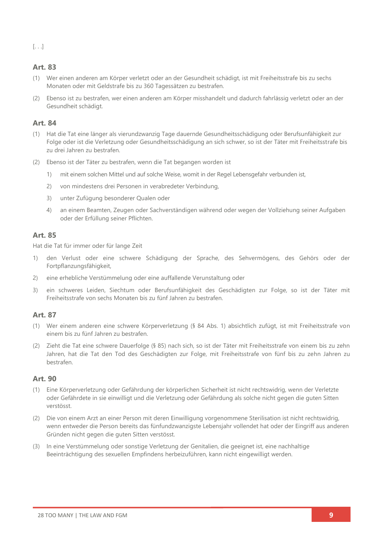[. . .]

### **Art. 83**

- (1) Wer einen anderen am Körper verletzt oder an der Gesundheit schädigt, ist mit Freiheitsstrafe bis zu sechs Monaten oder mit Geldstrafe bis zu 360 Tagessätzen zu bestrafen.
- (2) Ebenso ist zu bestrafen, wer einen anderen am Körper misshandelt und dadurch fahrlässig verletzt oder an der Gesundheit schädigt.

### **Art. 84**

- (1) Hat die Tat eine länger als vierundzwanzig Tage dauernde Gesundheitsschädigung oder Berufsunfähigkeit zur Folge oder ist die Verletzung oder Gesundheitsschädigung an sich schwer, so ist der Täter mit Freiheitsstrafe bis zu drei Jahren zu bestrafen.
- (2) Ebenso ist der Täter zu bestrafen, wenn die Tat begangen worden ist
	- 1) mit einem solchen Mittel und auf solche Weise, womit in der Regel Lebensgefahr verbunden ist,
	- 2) von mindestens drei Personen in verabredeter Verbindung,
	- 3) unter Zufügung besonderer Qualen oder
	- 4) an einem Beamten, Zeugen oder Sachverständigen während oder wegen der Vollziehung seiner Aufgaben oder der Erfüllung seiner Pflichten.

### **Art. 85**

Hat die Tat für immer oder für lange Zeit

- 1) den Verlust oder eine schwere Schädigung der Sprache, des Sehvermögens, des Gehörs oder der Fortpflanzungsfähigkeit,
- 2) eine erhebliche Verstümmelung oder eine auffallende Verunstaltung oder
- 3) ein schweres Leiden, Siechtum oder Berufsunfähigkeit des Geschädigten zur Folge, so ist der Täter mit Freiheitsstrafe von sechs Monaten bis zu fünf Jahren zu bestrafen.

### **Art. 87**

- (1) Wer einem anderen eine schwere Körperverletzung (§ 84 Abs. 1) absichtlich zufügt, ist mit Freiheitsstrafe von einem bis zu fünf Jahren zu bestrafen.
- (2) Zieht die Tat eine schwere Dauerfolge (§ 85) nach sich, so ist der Täter mit Freiheitsstrafe von einem bis zu zehn Jahren, hat die Tat den Tod des Geschädigten zur Folge, mit Freiheitsstrafe von fünf bis zu zehn Jahren zu bestrafen.

### **Art. 90**

- (1) Eine Körperverletzung oder Gefährdung der körperlichen Sicherheit ist nicht rechtswidrig, wenn der Verletzte oder Gefährdete in sie einwilligt und die Verletzung oder Gefährdung als solche nicht gegen die guten Sitten verstösst.
- (2) Die von einem Arzt an einer Person mit deren Einwilligung vorgenommene Sterilisation ist nicht rechtswidrig, wenn entweder die Person bereits das fünfundzwanzigste Lebensjahr vollendet hat oder der Eingriff aus anderen Gründen nicht gegen die guten Sitten verstösst.
- (3) In eine Verstümmelung oder sonstige Verletzung der Genitalien, die geeignet ist, eine nachhaltige Beeinträchtigung des sexuellen Empfindens herbeizuführen, kann nicht eingewilligt werden.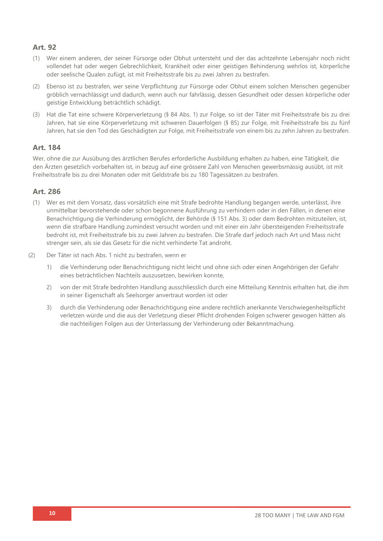### **Art. 92**

- (1) Wer einem anderen, der seiner Fürsorge oder Obhut untersteht und der das achtzehnte Lebensjahr noch nicht vollendet hat oder wegen Gebrechlichkeit, Krankheit oder einer geistigen Behinderung wehrlos ist, körperliche oder seelische Qualen zufügt, ist mit Freiheitsstrafe bis zu zwei Jahren zu bestrafen.
- (2) Ebenso ist zu bestrafen, wer seine Verpflichtung zur Fürsorge oder Obhut einem solchen Menschen gegenüber gröblich vernachlässigt und dadurch, wenn auch nur fahrlässig, dessen Gesundheit oder dessen körperliche oder geistige Entwicklung beträchtlich schädigt.
- (3) Hat die Tat eine schwere Körperverletzung (§ 84 Abs. 1) zur Folge, so ist der Täter mit Freiheitsstrafe bis zu drei Jahren, hat sie eine Körperverletzung mit schweren Dauerfolgen (§ 85) zur Folge, mit Freiheitsstrafe bis zu fünf Jahren, hat sie den Tod des Geschädigten zur Folge, mit Freiheitsstrafe von einem bis zu zehn Jahren zu bestrafen.

### **Art. 184**

Wer, ohne die zur Ausübung des ärztlichen Berufes erforderliche Ausbildung erhalten zu haben, eine Tätigkeit, die den Ärzten gesetzlich vorbehalten ist, in bezug auf eine grössere Zahl von Menschen gewerbsmässig ausübt, ist mit Freiheitsstrafe bis zu drei Monaten oder mit Geldstrafe bis zu 180 Tagessätzen zu bestrafen.

### **Art. 286**

- (1) Wer es mit dem Vorsatz, dass vorsätzlich eine mit Strafe bedrohte Handlung begangen werde, unterlässt, ihre unmittelbar bevorstehende oder schon begonnene Ausführung zu verhindern oder in den Fällen, in denen eine Benachrichtigung die Verhinderung ermöglicht, der Behörde (§ 151 Abs. 3) oder dem Bedrohten mitzuteilen, ist, wenn die strafbare Handlung zumindest versucht worden und mit einer ein Jahr übersteigenden Freiheitsstrafe bedroht ist, mit Freiheitsstrafe bis zu zwei Jahren zu bestrafen. Die Strafe darf jedoch nach Art und Mass nicht strenger sein, als sie das Gesetz für die nicht verhinderte Tat androht.
- (2) Der Täter ist nach Abs. 1 nicht zu bestrafen, wenn er
	- 1) die Verhinderung oder Benachrichtigung nicht leicht und ohne sich oder einen Angehörigen der Gefahr eines beträchtlichen Nachteils auszusetzen, bewirken konnte,
	- 2) von der mit Strafe bedrohten Handlung ausschliesslich durch eine Mitteilung Kenntnis erhalten hat, die ihm in seiner Eigenschaft als Seelsorger anvertraut worden ist oder
	- 3) durch die Verhinderung oder Benachrichtigung eine andere rechtlich anerkannte Verschwiegenheitspflicht verletzen würde und die aus der Verletzung dieser Pflicht drohenden Folgen schwerer gewogen hätten als die nachteiligen Folgen aus der Unterlassung der Verhinderung oder Bekanntmachung.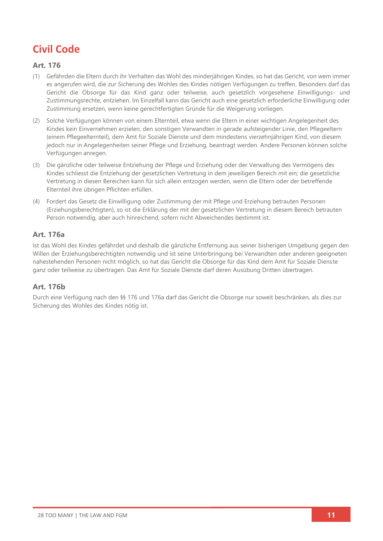## **Civil Code**

### **Art. 176**

- (1) Gefährden die Eltern durch ihr Verhalten das Wohl des minderjährigen Kindes, so hat das Gericht, von wem immer es angerufen wird, die zur Sicherung des Wohles des Kindes nötigen Verfügungen zu treffen. Besonders darf das Gericht die Obsorge für das Kind ganz oder teilweise, auch gesetzlich vorgesehene Einwilligungs- und Zustimmungsrechte, entziehen. Im Einzelfall kann das Gericht auch eine gesetzlich erforderliche Einwilligung oder Zustimmung ersetzen, wenn keine gerechtfertigten Gründe für die Weigerung vorliegen.
- (2) Solche Verfügungen können von einem Elternteil, etwa wenn die Eltern in einer wichtigen Angelegenheit des Kindes kein Einvernehmen erzielen, den sonstigen Verwandten in gerade aufsteigender Linie, den Pflegeeltern (einem Pflegeelternteil), dem Amt für Soziale Dienste und dem mindestens vierzehnjährigen Kind, von diesem jedoch nur in Angelegenheiten seiner Pflege und Erziehung, beantragt werden. Andere Personen können solche Verfügungen anregen.
- (3) Die gänzliche oder teilweise Entziehung der Pflege und Erziehung oder der Verwaltung des Vermögens des Kindes schliesst die Entziehung der gesetzlichen Vertretung in dem jeweiligen Bereich mit ein; die gesetzliche Vertretung in diesen Bereichen kann für sich allein entzogen werden, wenn die Eltern oder der betreffende Elternteil ihre übrigen Pflichten erfüllen.
- (4) Fordert das Gesetz die Einwilligung oder Zustimmung der mit Pflege und Erziehung betrauten Personen (Erziehungsberechtigten), so ist die Erklärung der mit der gesetzlichen Vertretung in diesem Bereich betrauten Person notwendig, aber auch hinreichend, sofern nicht Abweichendes bestimmt ist.

### **Art. 176a**

Ist das Wohl des Kindes gefährdet und deshalb die gänzliche Entfernung aus seiner bisherigen Umgebung gegen den Willen der Erziehungsberechtigten notwendig und ist seine Unterbringung bei Verwandten oder anderen geeigneten nahestehenden Personen nicht möglich, so hat das Gericht die Obsorge für das Kind dem Amt für Soziale Dienste ganz oder teilweise zu übertragen. Das Amt für Soziale Dienste darf deren Ausübung Dritten übertragen.

### **Art. 176b**

Durch eine Verfügung nach den §§ 176 und 176a darf das Gericht die Obsorge nur soweit beschränken, als dies zur Sicherung des Wohles des Kindes nötig ist.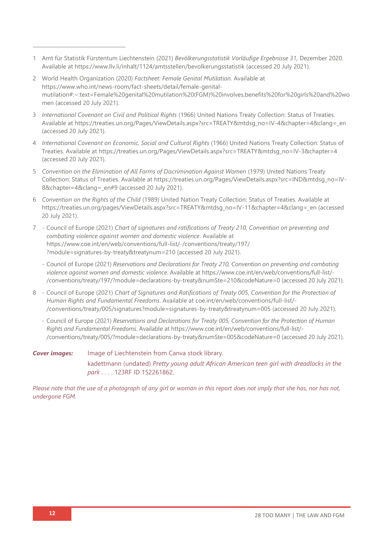- 1 Amt für Statistik Fürstentum Liechtenstein (2021) *Bevölkerungsstatistik Vorläufige Ergebnisse 31,* Dezember 2020. Available at<https://www.llv.li/inhalt/1124/amtsstellen/bevolkerungsstatistik> (accessed 20 July 2021).
- 2 World Health Organization (2020) *Factsheet: Female Genital Mutilation*. Available at [https://www.who.int/news-room/fact-sheets/detail/female-genital](https://www.who.int/news-room/fact-sheets/detail/female-genital-mutilation#:~:text=Female%20genital%20mutilation%20(FGM)%20involves,benefits%20for%20girls%20and%20women)[mutilation#:~:text=Female%20genital%20mutilation%20\(FGM\)%20involves,benefits%20for%20girls%20and%20wo](https://www.who.int/news-room/fact-sheets/detail/female-genital-mutilation#:~:text=Female%20genital%20mutilation%20(FGM)%20involves,benefits%20for%20girls%20and%20women) [men](https://www.who.int/news-room/fact-sheets/detail/female-genital-mutilation#:~:text=Female%20genital%20mutilation%20(FGM)%20involves,benefits%20for%20girls%20and%20women) (accessed 20 July 2021).
- 3 *International Covenant on Civil and Political Rights* (1966) United Nations Treaty Collection: Status of Treaties*.* Available at [https://treaties.un.org/Pages/ViewDetails.aspx?src=TREATY&mtdsg\\_no=IV-4&chapter=4&clang=\\_en](https://treaties.un.org/Pages/ViewDetails.aspx?src=TREATY&mtdsg_no=IV-4&chapter=4&clang=_en) (accessed 20 July 2021).
- 4 *International Covenant on Economic, Social and Cultural Rights* (1966) United Nations Treaty Collection: Status of Treaties. Available at [https://treaties.un.org/Pages/ViewDetails.aspx?src=TREATY&mtdsg\\_no=IV-3&chapter=4](https://treaties.un.org/Pages/ViewDetails.aspx?src=TREATY&mtdsg_no=IV-3&chapter=4) (accessed 20 July 2021).
- 5 Convention on the Elimination of All Forms of Discrimination Against Women (1979) United Nations Treaty Collection: Status of Treaties. Available at [https://treaties.un.org/Pages/ViewDetails.aspx?src=IND&mtdsg\\_no=IV-](https://treaties.un.org/Pages/ViewDetails.aspx?src=IND&mtdsg_no=IV-8&chapter=4&clang=_en#9)8&chapter=4&clang= en#9 (accessed 20 July 2021).
- 6 *Convention on the Rights of the Child* (1989) United Nation Treaty Collection: Status of Treaties. Available at [https://treaties.un.org/pages/ViewDetails.aspx?src=TREATY&mtdsg\\_no=IV-11&chapter=4&clang=\\_en](https://treaties.un.org/pages/ViewDetails.aspx?src=TREATY&mtdsg_no=IV-11&chapter=4&clang=_en) (accessed 20 July 2021).
- 7 Council of Europe (2021) *Chart of signatures and ratifications of Treaty 210, Convention on preventing and combating violence against women and domestic violence*. Available at [https://www.coe.int/en/web/conventions/full-list/-/conventions/treaty/197/](https://www.coe.int/en/web/conventions/full-list/-/conventions/treaty/197/?module=signatures-by-treaty&treatynum=210) [?module=signatures-by-treaty&treatynum=210](https://www.coe.int/en/web/conventions/full-list/-/conventions/treaty/197/?module=signatures-by-treaty&treatynum=210) (accessed 20 July 2021).
	- Council of Europe (2021) *Reservations and Declarations for Treaty 210, Convention on preventing and combating violence against women and domestic violence*. Available at [https://www.coe.int/en/web/conventions/full-list/-](https://www.coe.int/en/web/conventions/full-list/-/conventions/treaty/197/?module=declarations-by-treaty&numSte=210&codeNature=0) [/conventions/treaty/197/?module=declarations-by-treaty&numSte=210&codeNature=0](https://www.coe.int/en/web/conventions/full-list/-/conventions/treaty/197/?module=declarations-by-treaty&numSte=210&codeNature=0) (accessed 20 July 2021).
- 8 Council of Europe (2021) *Chart of Signatures and Ratifications of Treaty 005, Convention for the Protection of Human Rights and Fundamental Freedoms*. Available at coe.int/en/web/conventions/full-list/- /conventions/treaty/005/signatures?module=signatures-by-treaty&treatynum=005 (accessed 20 July 2021).
	- Council of Europe (2021) *Reservations and Declarations for Treaty 005, Convention for the Protection of Human Rights and Fundamental Freedoms*. Available at [https://www.coe.int/en/web/conventions/full-list/-](https://www.coe.int/en/web/conventions/full-list/-/conventions/treaty/005/?module=declarations-by-treaty&numSte=005&codeNature=0) [/conventions/treaty/005/?module=declarations-by-treaty&numSte=005&codeNature=0](https://www.coe.int/en/web/conventions/full-list/-/conventions/treaty/005/?module=declarations-by-treaty&numSte=005&codeNature=0) (accessed 20 July 2021).

*Cover images:* Image of Liechtenstein from Canva stock library. kadettmann (undated) *Pretty young adult African American teen girl with dreadlocks in the park . . .* . 123RF ID 152261862.

Please note that the use of a photograph of any girl or woman in this report does not imply that she has, nor has not, *undergone FGM.*